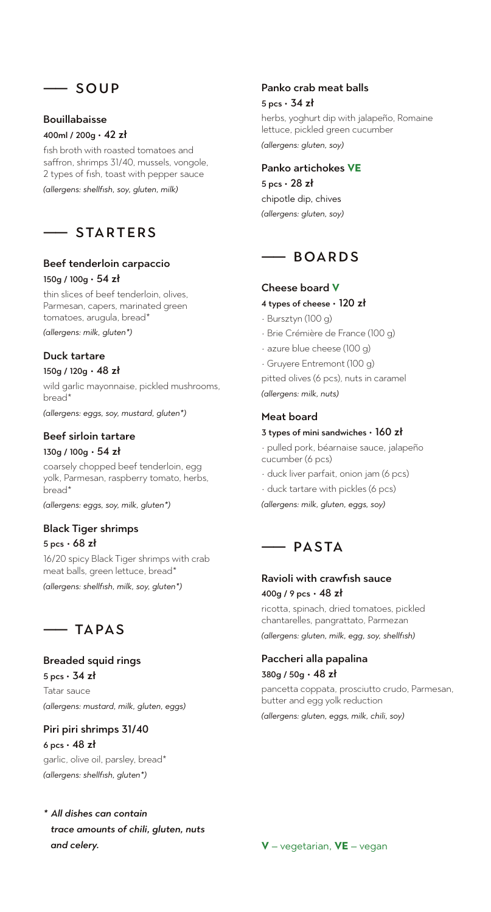## —— SOUP

## Bouillabaisse

## 400ml / 200g • 42 zł

fish broth with roasted tomatoes and saffron, shrimps 31/40, mussels, vongole, 2 types of fish, toast with pepper sauce *(allergens: shellfish, soy, gluten, milk)*

## $-$  STARTFRS

### Beef tenderloin carpaccio 150g / 100g • 54 zł

thin slices of beef tenderloin, olives, Parmesan, capers, marinated green tomatoes, arugula, bread\*

*(allergens: milk, gluten\*)*

## Duck tartare

### 150g / 120g • 48 zł

wild garlic mayonnaise, pickled mushrooms, bread\*

*(allergens: eggs, soy, mustard, gluten\*)*

## Beef sirloin tartare

### 130g / 100g • 54 zł

coarsely chopped beef tenderloin, egg yolk, Parmesan, raspberry tomato, herbs, bread\*

*(allergens: eggs, soy, milk, gluten\*)*

### Black Tiger shrimps 5 pcs • 68 zł

16/20 spicy Black Tiger shrimps with crab meat balls, green lettuce, bread\*

*(allergens: shellfish, milk, soy, gluten\*)*



## Breaded squid rings

5 pcs • 34 zł Tatar sauce *(allergens: mustard, milk, gluten, eggs)*

## Piri piri shrimps 31/40 6 pcs • 48 zł

garlic, olive oil, parsley, bread\* *(allergens: shellfish, gluten\*)*

## *\* All dishes can contain trace amounts of chili, gluten, nuts and celery.*

### Panko crab meat balls

#### 5 pcs • 34 zł

herbs, yoghurt dip with jalapeño, Romaine lettuce, pickled green cucumber

*(allergens: gluten, soy)*

## Panko artichokes **VE**

 $5$  pcs  $\cdot$  28 zł chipotle dip, chives *(allergens: gluten, soy)*



## Cheese board **V**

- 4 types of cheese 120 zł
- Bursztyn (100 g)
- Brie Crémière de France (100 g)
- azure blue cheese (100 g)
- Gruyere Entremont (100 g)

pitted olives (6 pcs), nuts in caramel *(allergens: milk, nuts)*

## Meat board

#### 3 types of mini sandwiches • 160 zł

• pulled pork, béarnaise sauce, jalapeño cucumber (6 pcs)

- duck liver parfait, onion jam (6 pcs)
- duck tartare with pickles (6 pcs)

*(allergens: milk, gluten, eggs, soy)*

## —— PASTA

## Ravioli with crawfish sauce 400g / 9 pcs • 48 zł

ricotta, spinach, dried tomatoes, pickled chantarelles, pangrattato, Parmezan

*(allergens: gluten, milk, egg, soy, shellfish)*

#### Paccheri alla papalina 380g / 50g • 48 zł

pancetta coppata, prosciutto crudo, Parmesan, butter and egg yolk reduction

*(allergens: gluten, eggs, milk, chili, soy)*

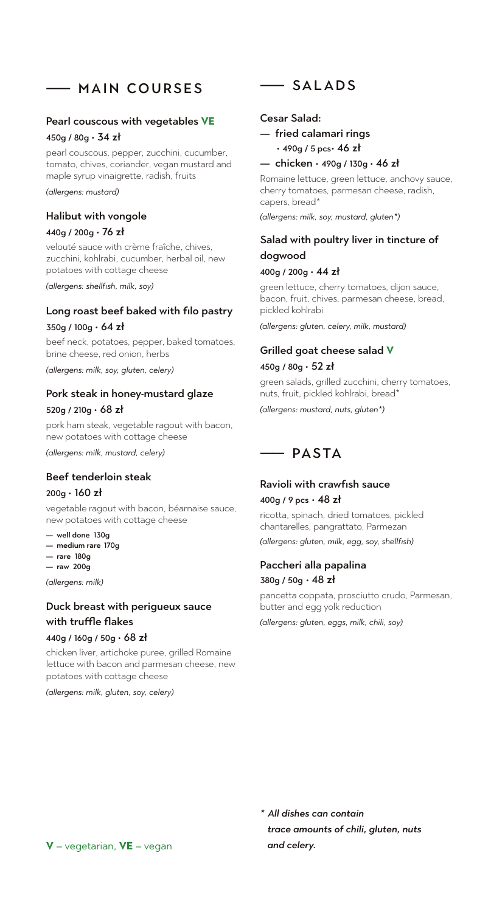## —— MAIN COURSES

#### Pearl couscous with vegetables **VE**

#### 450g / 80g • 34 zł

pearl couscous, pepper, zucchini, cucumber, tomato, chives, coriander, vegan mustard and maple syrup vinaigrette, radish, fruits

*(allergens: mustard)*

#### Halibut with vongole

#### 440g / 200g • 76 zł

velouté sauce with crème fraîche, chives, zucchini, kohlrabi, cucumber, herbal oil, new potatoes with cottage cheese

*(allergens: shellfish, milk, soy)*

#### Long roast beef baked with filo pastry

#### $350g / 100g \cdot 64zh$

beef neck, potatoes, pepper, baked tomatoes, brine cheese, red onion, herbs

*(allergens: milk, soy, gluten, celery)*

#### Pork steak in honey-mustard glaze

#### 520g / 210g  $\cdot$  68 zł

pork ham steak, vegetable ragout with bacon, new potatoes with cottage cheese

*(allergens: milk, mustard, celery)*

## Beef tenderloin steak

#### 200g • 160 zł

vegetable ragout with bacon, béarnaise sauce, new potatoes with cottage cheese

- well done 130g
- medium rare 170g
- rare 180g — raw 200g

*(allergens: milk)*

## Duck breast with perigueux sauce with truffle flakes

#### 440g / 160g / 50g • 68 zł

chicken liver, artichoke puree, grilled Romaine lettuce with bacon and parmesan cheese, new potatoes with cottage cheese

*(allergens: milk, gluten, soy, celery)*

—— SALADS

#### Cesar Salad:

— fried calamari rings • 490g / 5 pcs• 46 zł

#### — chicken • 490g / 130g • 46 zł

Romaine lettuce, green lettuce, anchovy sauce, cherry tomatoes, parmesan cheese, radish, capers, bread\*

*(allergens: milk, soy, mustard, gluten\*)*

## Salad with poultry liver in tincture of dogwood

#### 400g / 200g • 44 zł

green lettuce, cherry tomatoes, dijon sauce, bacon, fruit, chives, parmesan cheese, bread, pickled kohlrabi

*(allergens: gluten, celery, milk, mustard)*

#### Grilled goat cheese salad **V**

#### $450g / 80g \cdot 52z$ ł

green salads, grilled zucchini, cherry tomatoes, nuts, fruit, pickled kohlrabi, bread\*

*(allergens: mustard, nuts, gluten\*)*



# Ravioli with crawfish sauce

## 400g / 9 pcs • 48 zł

ricotta, spinach, dried tomatoes, pickled chantarelles, pangrattato, Parmezan

*(allergens: gluten, milk, egg, soy, shellfish)*

#### Paccheri alla papalina  $380q / 50q \cdot 48z$

pancetta coppata, prosciutto crudo, Parmesan, butter and egg yolk reduction

*(allergens: gluten, eggs, milk, chili, soy)*

*\* All dishes can contain trace amounts of chili, gluten, nuts and celery.*